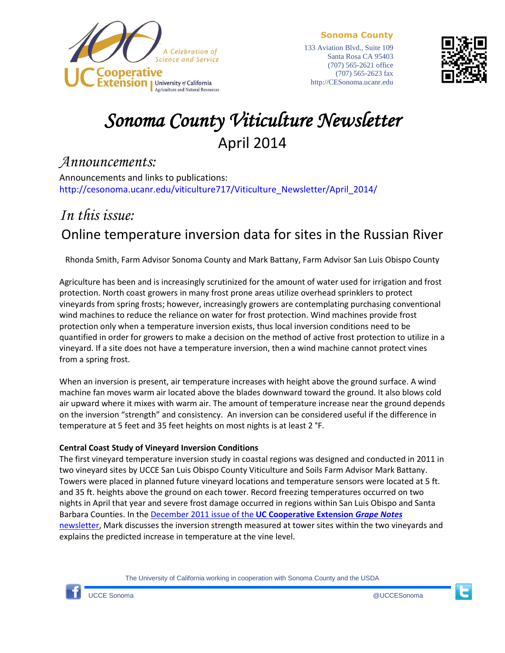



# *Sonoma County Viticulture Newsletter*  April 2014

### *Announcements:*

Announcements and links to publications: http://cesonoma.ucanr.edu/viticulture717/Viticulture\_Newsletter/April\_2014/

## *In this issue:*  Online temperature inversion data for sites in the Russian River

Rhonda Smith, Farm Advisor Sonoma County and Mark Battany, Farm Advisor San Luis Obispo County

Agriculture has been and is increasingly scrutinized for the amount of water used for irrigation and frost protection. North coast growers in many frost prone areas utilize overhead sprinklers to protect vineyards from spring frosts; however, increasingly growers are contemplating purchasing conventional wind machines to reduce the reliance on water for frost protection. Wind machines provide frost protection only when a temperature inversion exists, thus local inversion conditions need to be quantified in order for growers to make a decision on the method of active frost protection to utilize in a vineyard. If a site does not have a temperature inversion, then a wind machine cannot protect vines from a spring frost.

When an inversion is present, air temperature increases with height above the ground surface. A wind machine fan moves warm air located above the blades downward toward the ground. It also blows cold air upward where it mixes with warm air. The amount of temperature increase near the ground depends on the inversion "strength" and consistency. An inversion can be considered useful if the difference in temperature at 5 feet and 35 feet heights on most nights is at least 2 °F.

#### **Central Coast Study of Vineyard Inversion Conditions**

The first vineyard temperature inversion study in coastal regions was designed and conducted in 2011 in two vineyard sites by UCCE San Luis Obispo County Viticulture and Soils Farm Advisor Mark Battany. Towers were placed in planned future vineyard locations and temperature sensors were located at 5 ft. and 35 ft. heights above the ground on each tower. Record freezing temperatures occurred on two nights in April that year and severe frost damage occurred in regions within San Luis Obispo and Santa Barbara Counties. In the [December 2011 issue of the](http://cesanluisobispo.ucanr.edu/Viticulture/GRAPE_NOTES_Newsletter/?newsitem=41539) **UC Cooperative Extension** *Grape Notes* [newsletter,](http://cesanluisobispo.ucanr.edu/Viticulture/GRAPE_NOTES_Newsletter/?newsitem=41539) Mark discusses the inversion strength measured at tower sites within the two vineyards and explains the predicted increase in temperature at the vine level.

The University of California working in cooperation with Sonoma County and the USDA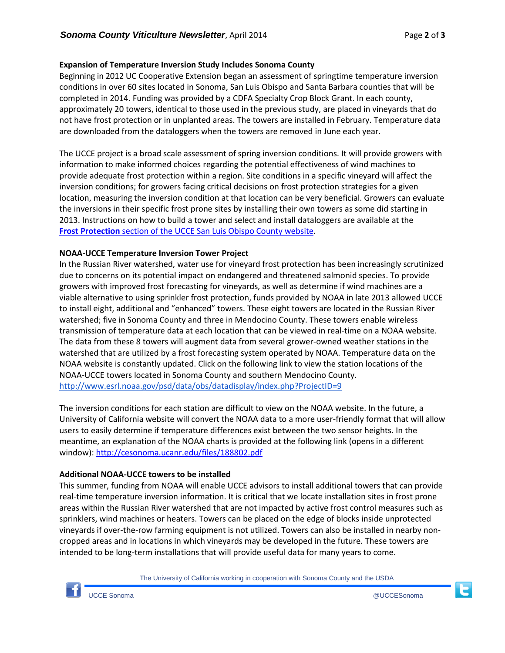#### **Expansion of Temperature Inversion Study Includes Sonoma County**

Beginning in 2012 UC Cooperative Extension began an assessment of springtime temperature inversion conditions in over 60 sites located in Sonoma, San Luis Obispo and Santa Barbara counties that will be completed in 2014. Funding was provided by a CDFA Specialty Crop Block Grant. In each county, approximately 20 towers, identical to those used in the previous study, are placed in vineyards that do not have frost protection or in unplanted areas. The towers are installed in February. Temperature data are downloaded from the dataloggers when the towers are removed in June each year.

The UCCE project is a broad scale assessment of spring inversion conditions. It will provide growers with information to make informed choices regarding the potential effectiveness of wind machines to provide adequate frost protection within a region. Site conditions in a specific vineyard will affect the inversion conditions; for growers facing critical decisions on frost protection strategies for a given location, measuring the inversion condition at that location can be very beneficial. Growers can evaluate the inversions in their specific frost prone sites by installing their own towers as some did starting in 2013. Instructions on how to build a tower and select and install dataloggers are available at the **Frost Protection** section of the [UCCE San Luis Obispo County website.](http://cesanluisobispo.ucanr.edu/Viticulture/Frost_Protection/)

#### **NOAA-UCCE Temperature Inversion Tower Project**

In the Russian River watershed, water use for vineyard frost protection has been increasingly scrutinized due to concerns on its potential impact on endangered and threatened salmonid species. To provide growers with improved frost forecasting for vineyards, as well as determine if wind machines are a viable alternative to using sprinkler frost protection, funds provided by NOAA in late 2013 allowed UCCE to install eight, additional and "enhanced" towers. These eight towers are located in the Russian River watershed; five in Sonoma County and three in Mendocino County. These towers enable wireless transmission of temperature data at each location that can be viewed in real-time on a NOAA website. The data from these 8 towers will augment data from several grower-owned weather stations in the watershed that are utilized by a frost forecasting system operated by NOAA. Temperature data on the NOAA website is constantly updated. Click on the following link to view the station locations of the NOAA-UCCE towers located in Sonoma County and southern Mendocino County. <http://www.esrl.noaa.gov/psd/data/obs/datadisplay/index.php?ProjectID=9>

The inversion conditions for each station are difficult to view on the NOAA website. In the future, a University of California website will convert the NOAA data to a more user-friendly format that will allow users to easily determine if temperature differences exist between the two sensor heights. In the meantime, an explanation of the NOAA charts is provided at the following link (opens in a different window): <http://cesonoma.ucanr.edu/files/188802.pdf>

#### **Additional NOAA-UCCE towers to be installed**

This summer, funding from NOAA will enable UCCE advisors to install additional towers that can provide real-time temperature inversion information. It is critical that we locate installation sites in frost prone areas within the Russian River watershed that are not impacted by active frost control measures such as sprinklers, wind machines or heaters. Towers can be placed on the edge of blocks inside unprotected vineyards if over-the-row farming equipment is not utilized. Towers can also be installed in nearby noncropped areas and in locations in which vineyards may be developed in the future. These towers are intended to be long-term installations that will provide useful data for many years to come.

The University of California working in cooperation with Sonoma County and the USDA